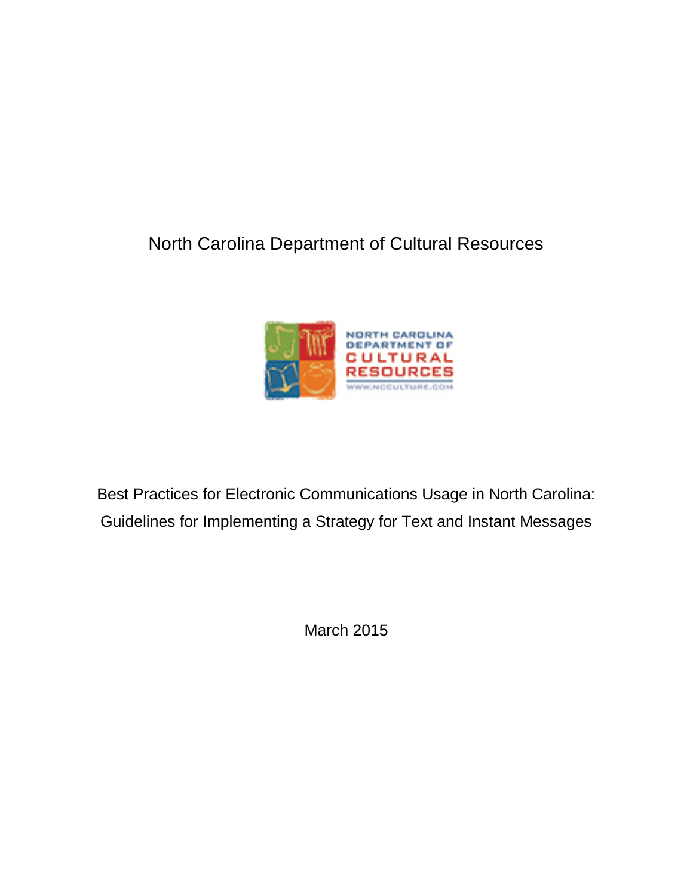# North Carolina Department of Cultural Resources



Best Practices for Electronic Communications Usage in North Carolina: Guidelines for Implementing a Strategy for Text and Instant Messages

March 2015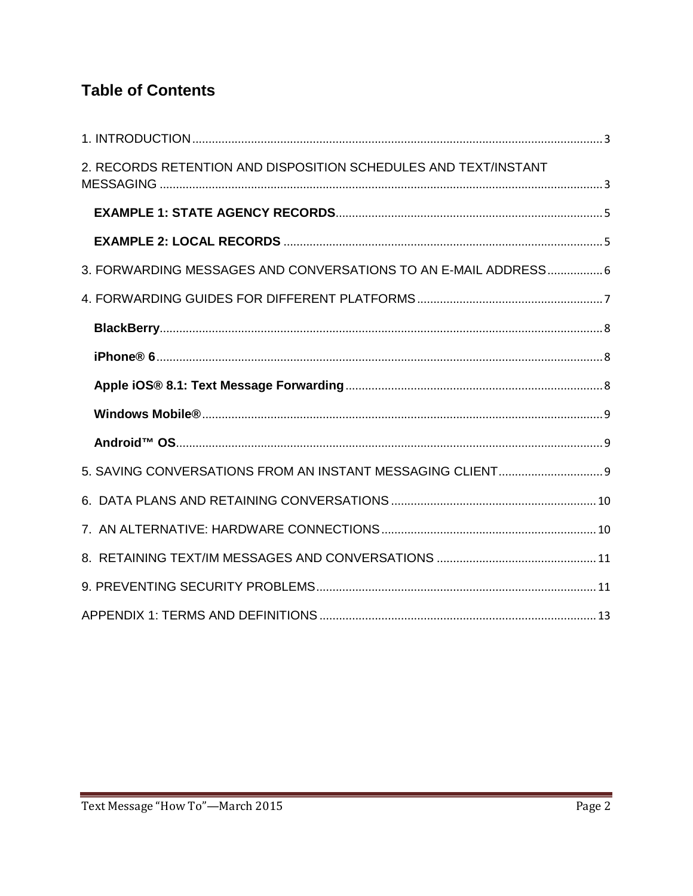## **Table of Contents**

| 2. RECORDS RETENTION AND DISPOSITION SCHEDULES AND TEXT/INSTANT |
|-----------------------------------------------------------------|
|                                                                 |
|                                                                 |
| 3. FORWARDING MESSAGES AND CONVERSATIONS TO AN E-MAIL ADDRESS 6 |
|                                                                 |
|                                                                 |
|                                                                 |
|                                                                 |
|                                                                 |
|                                                                 |
|                                                                 |
|                                                                 |
|                                                                 |
|                                                                 |
|                                                                 |
|                                                                 |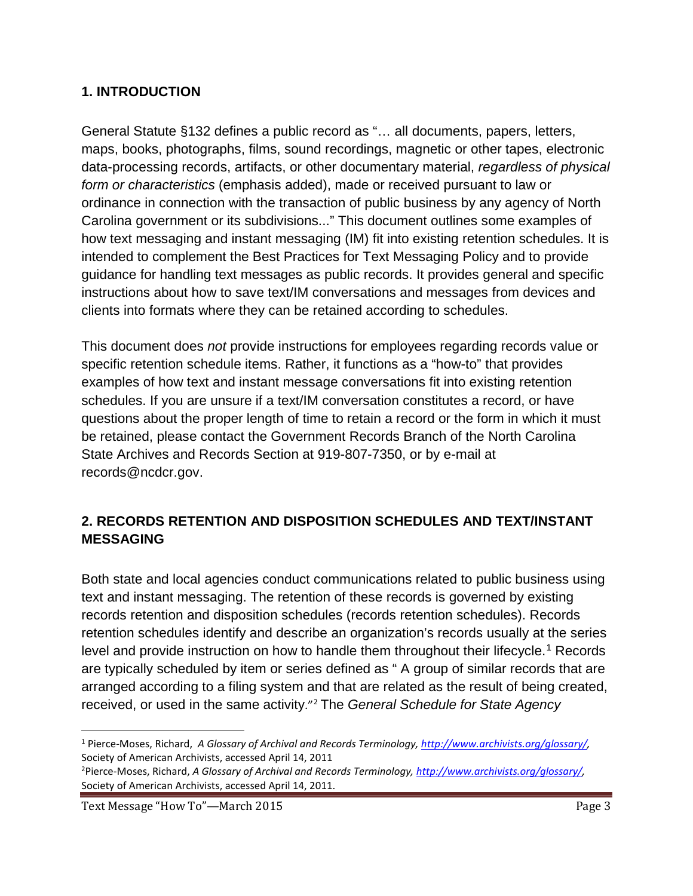#### <span id="page-2-0"></span>**1. INTRODUCTION**

General Statute §132 defines a public record as "… all documents, papers, letters, maps, books, photographs, films, sound recordings, magnetic or other tapes, electronic data-processing records, artifacts, or other documentary material, *regardless of physical form or characteristics* (emphasis added), made or received pursuant to law or ordinance in connection with the transaction of public business by any agency of North Carolina government or its subdivisions..." This document outlines some examples of how text messaging and instant messaging (IM) fit into existing retention schedules. It is intended to complement the Best Practices for Text Messaging Policy and to provide guidance for handling text messages as public records. It provides general and specific instructions about how to save text/IM conversations and messages from devices and clients into formats where they can be retained according to schedules.

This document does *not* provide instructions for employees regarding records value or specific retention schedule items. Rather, it functions as a "how-to" that provides examples of how text and instant message conversations fit into existing retention schedules. If you are unsure if a text/IM conversation constitutes a record, or have questions about the proper length of time to retain a record or the form in which it must be retained, please contact the Government Records Branch of the North Carolina State Archives and Records Section at 919-807-7350, or by e-mail at records@ncdcr.gov.

### <span id="page-2-1"></span>**2. RECORDS RETENTION AND DISPOSITION SCHEDULES AND TEXT/INSTANT MESSAGING**

Both state and local agencies conduct communications related to public business using text and instant messaging. The retention of these records is governed by existing records retention and disposition schedules (records retention schedules). Records retention schedules identify and describe an organization's records usually at the series level and provide instruction on how to handle them throughout their lifecycle.<sup>[1](#page-2-2)</sup> Records are typically scheduled by item or series defined as " A group of similar records that are arranged according to a filing system and that are related as the result of being created, received, or used in the same activity."[2](#page-2-3) The *General Schedule for State Agency* 

<span id="page-2-2"></span> <sup>1</sup> Pierce-Moses, Richard, *A Glossary of Archival and Records Terminology, [http://www.archivists.org/glossary/,](http://www.archivists.org/glossary/)*  Society of American Archivists, accessed April 14, 2011

<span id="page-2-3"></span><sup>2</sup> Pierce-Moses, Richard, *A Glossary of Archival and Records Terminology, [http://www.archivists.org/glossary/,](http://www.archivists.org/glossary/)*  Society of American Archivists, accessed April 14, 2011.

Text Message "How To"—March 2015 Page 3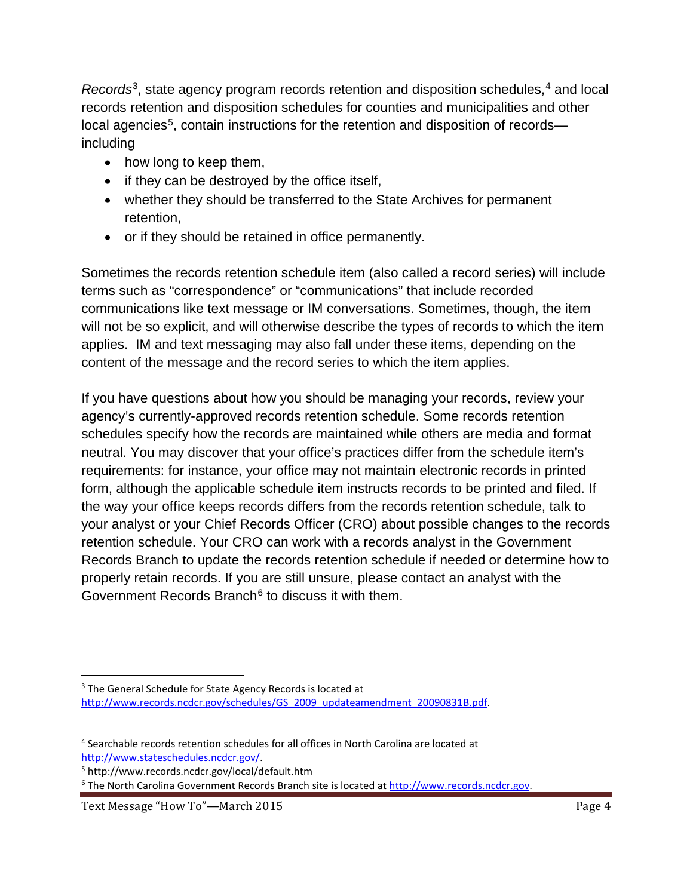*Records*<sup>3</sup>, state agency program records retention and disposition schedules,<sup>[4](#page-3-1)</sup> and local records retention and disposition schedules for counties and municipalities and other  $local$  agencies<sup>[5](#page-3-2)</sup>, contain instructions for the retention and disposition of records including

- how long to keep them,
- if they can be destroyed by the office itself,
- whether they should be transferred to the State Archives for permanent retention,
- or if they should be retained in office permanently.

Sometimes the records retention schedule item (also called a record series) will include terms such as "correspondence" or "communications" that include recorded communications like text message or IM conversations. Sometimes, though, the item will not be so explicit, and will otherwise describe the types of records to which the item applies. IM and text messaging may also fall under these items, depending on the content of the message and the record series to which the item applies.

If you have questions about how you should be managing your records, review your agency's currently-approved records retention schedule. Some records retention schedules specify how the records are maintained while others are media and format neutral. You may discover that your office's practices differ from the schedule item's requirements: for instance, your office may not maintain electronic records in printed form, although the applicable schedule item instructs records to be printed and filed. If the way your office keeps records differs from the records retention schedule, talk to your analyst or your Chief Records Officer (CRO) about possible changes to the records retention schedule. Your CRO can work with a records analyst in the Government Records Branch to update the records retention schedule if needed or determine how to properly retain records. If you are still unsure, please contact an analyst with the Government Records Branch<sup> $6$ </sup> to discuss it with them.

<span id="page-3-2"></span><sup>5</sup> http://www.records.ncdcr.gov/local/default.htm

<span id="page-3-3"></span><sup>6</sup> The North Carolina Government Records Branch site is located at [http://www.records.ncdcr.gov.](http://www.records.ncdcr.gov/)

<span id="page-3-0"></span><sup>&</sup>lt;sup>3</sup> The General Schedule for State Agency Records is located at [http://www.records.ncdcr.gov/schedules/GS\\_2009\\_updateamendment\\_20090831B.pdf.](http://www.records.ncdcr.gov/schedules/GS_2009_updateamendment_20090831B.pdf)

<span id="page-3-1"></span><sup>4</sup> Searchable records retention schedules for all offices in North Carolina are located at [http://www.stateschedules.ncdcr.gov/.](http://www.stateschedules.ncdcr.gov/)

Text Message "How To"—March 2015 Page 4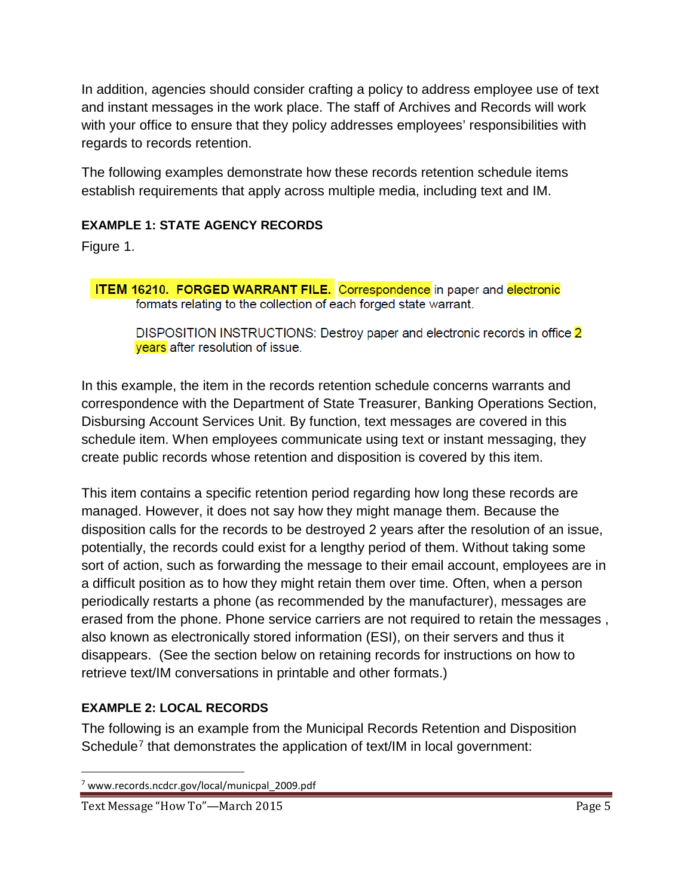In addition, agencies should consider crafting a policy to address employee use of text and instant messages in the work place. The staff of Archives and Records will work with your office to ensure that they policy addresses employees' responsibilities with regards to records retention.

The following examples demonstrate how these records retention schedule items establish requirements that apply across multiple media, including text and IM.

#### <span id="page-4-0"></span>**EXAMPLE 1: STATE AGENCY RECORDS**

Figure 1.

**ITEM 16210. FORGED WARRANT FILE.** Correspondence in paper and electronic formats relating to the collection of each forged state warrant.

DISPOSITION INSTRUCTIONS: Destroy paper and electronic records in office 2 years after resolution of issue.

In this example, the item in the records retention schedule concerns warrants and correspondence with the Department of State Treasurer, Banking Operations Section, Disbursing Account Services Unit. By function, text messages are covered in this schedule item. When employees communicate using text or instant messaging, they create public records whose retention and disposition is covered by this item.

This item contains a specific retention period regarding how long these records are managed. However, it does not say how they might manage them. Because the disposition calls for the records to be destroyed 2 years after the resolution of an issue, potentially, the records could exist for a lengthy period of them. Without taking some sort of action, such as forwarding the message to their email account, employees are in a difficult position as to how they might retain them over time. Often, when a person periodically restarts a phone (as recommended by the manufacturer), messages are erased from the phone. Phone service carriers are not required to retain the messages , also known as electronically stored information (ESI), on their servers and thus it disappears. (See the section below on retaining records for instructions on how to retrieve text/IM conversations in printable and other formats.)

### <span id="page-4-1"></span>**EXAMPLE 2: LOCAL RECORDS**

The following is an example from the Municipal Records Retention and Disposition Schedule<sup>[7](#page-4-2)</sup> that demonstrates the application of text/IM in local government:

<span id="page-4-2"></span> <sup>7</sup> www.records.ncdcr.gov/local/municpal\_2009.pdf

Text Message "How To"—March 2015 Page 5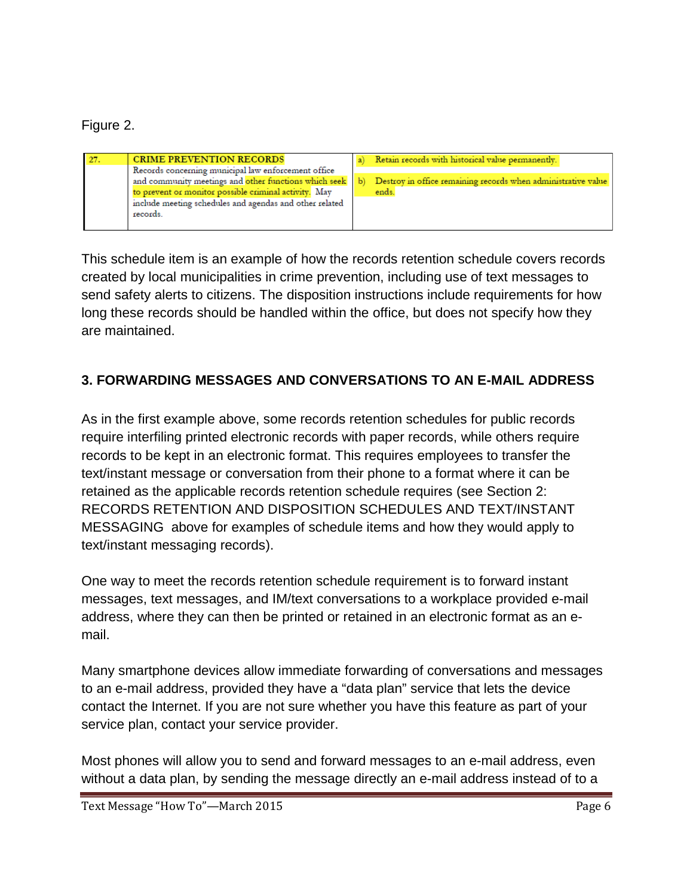Figure 2.

| -27. | <b>CRIME PREVENTION RECORDS</b>                         |    | Retain records with historical value permanently.             |
|------|---------------------------------------------------------|----|---------------------------------------------------------------|
|      | Records concerning municipal law enforcement office     |    |                                                               |
|      | and community meetings and other functions which seek   | Ъì | Destroy in office remaining records when administrative value |
|      | to prevent or monitor possible criminal activity. May   |    | ends.                                                         |
|      | include meeting schedules and agendas and other related |    |                                                               |
|      | records.                                                |    |                                                               |
|      |                                                         |    |                                                               |

This schedule item is an example of how the records retention schedule covers records created by local municipalities in crime prevention, including use of text messages to send safety alerts to citizens. The disposition instructions include requirements for how long these records should be handled within the office, but does not specify how they are maintained.

## <span id="page-5-0"></span>**3. FORWARDING MESSAGES AND CONVERSATIONS TO AN E-MAIL ADDRESS**

As in the first example above, some records retention schedules for public records require interfiling printed electronic records with paper records, while others require records to be kept in an electronic format. This requires employees to transfer the text/instant message or conversation from their phone to a format where it can be retained as the applicable records retention schedule requires (see Section 2: RECORDS RETENTION AND DISPOSITION SCHEDULES AND TEXT/INSTANT MESSAGING above for examples of schedule items and how they would apply to text/instant messaging records).

One way to meet the records retention schedule requirement is to forward instant messages, text messages, and IM/text conversations to a workplace provided e-mail address, where they can then be printed or retained in an electronic format as an email.

Many smartphone devices allow immediate forwarding of conversations and messages to an e-mail address, provided they have a "data plan" service that lets the device contact the Internet. If you are not sure whether you have this feature as part of your service plan, contact your service provider.

Most phones will allow you to send and forward messages to an e-mail address, even without a data plan, by sending the message directly an e-mail address instead of to a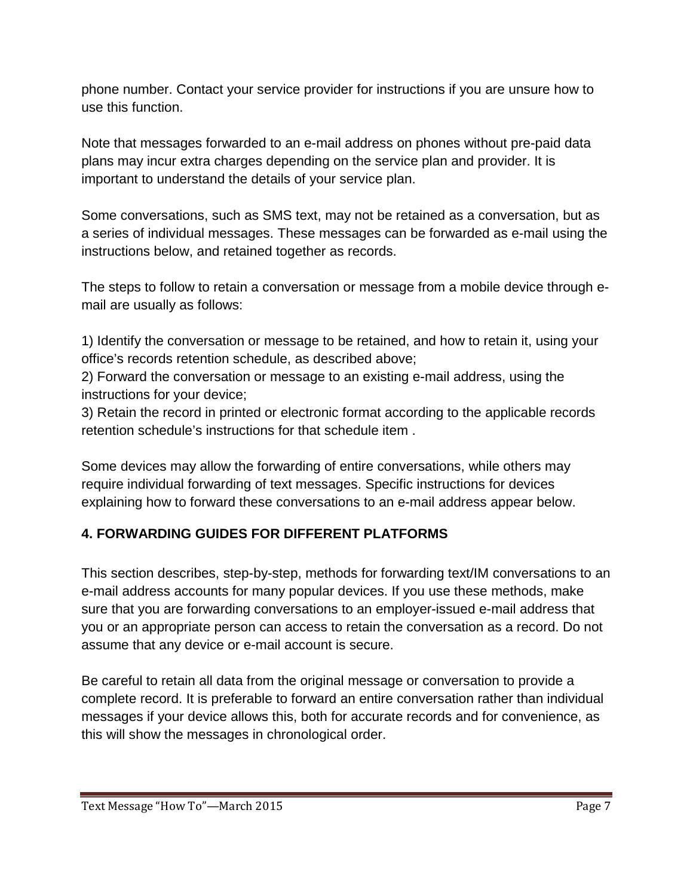phone number. Contact your service provider for instructions if you are unsure how to use this function.

Note that messages forwarded to an e-mail address on phones without pre-paid data plans may incur extra charges depending on the service plan and provider. It is important to understand the details of your service plan.

Some conversations, such as SMS text, may not be retained as a conversation, but as a series of individual messages. These messages can be forwarded as e-mail using the instructions below, and retained together as records.

The steps to follow to retain a conversation or message from a mobile device through email are usually as follows:

1) Identify the conversation or message to be retained, and how to retain it, using your office's records retention schedule, as described above;

2) Forward the conversation or message to an existing e-mail address, using the instructions for your device;

3) Retain the record in printed or electronic format according to the applicable records retention schedule's instructions for that schedule item .

Some devices may allow the forwarding of entire conversations, while others may require individual forwarding of text messages. Specific instructions for devices explaining how to forward these conversations to an e-mail address appear below.

## <span id="page-6-0"></span>**4. FORWARDING GUIDES FOR DIFFERENT PLATFORMS**

This section describes, step-by-step, methods for forwarding text/IM conversations to an e-mail address accounts for many popular devices. If you use these methods, make sure that you are forwarding conversations to an employer-issued e-mail address that you or an appropriate person can access to retain the conversation as a record. Do not assume that any device or e-mail account is secure.

Be careful to retain all data from the original message or conversation to provide a complete record. It is preferable to forward an entire conversation rather than individual messages if your device allows this, both for accurate records and for convenience, as this will show the messages in chronological order.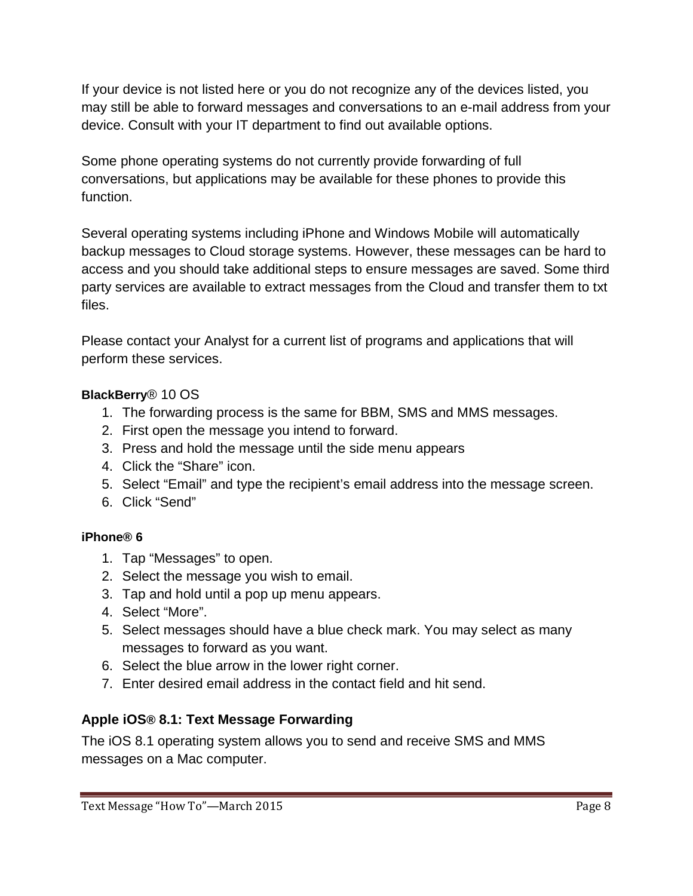If your device is not listed here or you do not recognize any of the devices listed, you may still be able to forward messages and conversations to an e-mail address from your device. Consult with your IT department to find out available options.

Some phone operating systems do not currently provide forwarding of full conversations, but applications may be available for these phones to provide this function.

Several operating systems including iPhone and Windows Mobile will automatically backup messages to Cloud storage systems. However, these messages can be hard to access and you should take additional steps to ensure messages are saved. Some third party services are available to extract messages from the Cloud and transfer them to txt files.

Please contact your Analyst for a current list of programs and applications that will perform these services.

### <span id="page-7-0"></span>**BlackBerry**® 10 OS

- 1. The forwarding process is the same for BBM, SMS and MMS messages.
- 2. First open the message you intend to forward.
- 3. Press and hold the message until the side menu appears
- 4. Click the "Share" icon.
- 5. Select "Email" and type the recipient's email address into the message screen.
- 6. Click "Send"

## <span id="page-7-1"></span>**iPhone® 6**

- 1. Tap "Messages" to open.
- 2. Select the message you wish to email.
- 3. Tap and hold until a pop up menu appears.
- 4. Select "More".
- 5. Select messages should have a blue check mark. You may select as many messages to forward as you want.
- 6. Select the blue arrow in the lower right corner.
- 7. Enter desired email address in the contact field and hit send.

## <span id="page-7-2"></span>**Apple iOS® 8.1: Text Message Forwarding**

The iOS 8.1 operating system allows you to send and receive SMS and MMS messages on a Mac computer.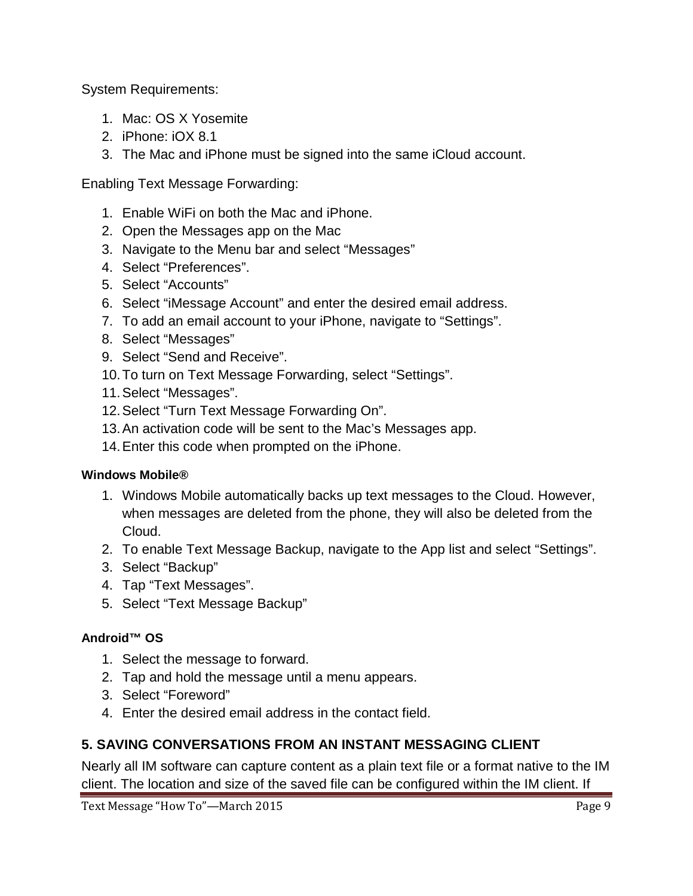System Requirements:

- 1. Mac: OS X Yosemite
- 2. iPhone: iOX 8.1
- 3. The Mac and iPhone must be signed into the same iCloud account.

Enabling Text Message Forwarding:

- 1. Enable WiFi on both the Mac and iPhone.
- 2. Open the Messages app on the Mac
- 3. Navigate to the Menu bar and select "Messages"
- 4. Select "Preferences".
- 5. Select "Accounts"
- 6. Select "iMessage Account" and enter the desired email address.
- 7. To add an email account to your iPhone, navigate to "Settings".
- 8. Select "Messages"
- 9. Select "Send and Receive".
- 10.To turn on Text Message Forwarding, select "Settings".
- 11.Select "Messages".
- 12.Select "Turn Text Message Forwarding On".
- 13.An activation code will be sent to the Mac's Messages app.
- 14.Enter this code when prompted on the iPhone.

#### <span id="page-8-0"></span>**Windows Mobile®**

- 1. Windows Mobile automatically backs up text messages to the Cloud. However, when messages are deleted from the phone, they will also be deleted from the Cloud.
- 2. To enable Text Message Backup, navigate to the App list and select "Settings".
- 3. Select "Backup"
- 4. Tap "Text Messages".
- 5. Select "Text Message Backup"

#### <span id="page-8-1"></span>**Android™ OS**

- 1. Select the message to forward.
- 2. Tap and hold the message until a menu appears.
- 3. Select "Foreword"
- 4. Enter the desired email address in the contact field.

### <span id="page-8-2"></span>**5. SAVING CONVERSATIONS FROM AN INSTANT MESSAGING CLIENT**

Nearly all IM software can capture content as a plain text file or a format native to the IM client. The location and size of the saved file can be configured within the IM client. If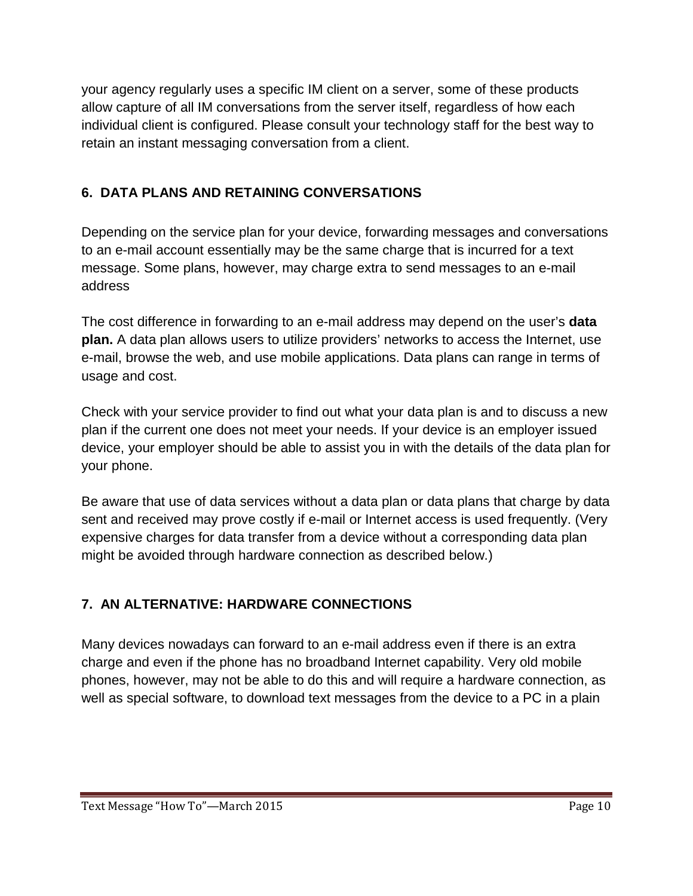your agency regularly uses a specific IM client on a server, some of these products allow capture of all IM conversations from the server itself, regardless of how each individual client is configured. Please consult your technology staff for the best way to retain an instant messaging conversation from a client.

## <span id="page-9-0"></span>**6. DATA PLANS AND RETAINING CONVERSATIONS**

Depending on the service plan for your device, forwarding messages and conversations to an e-mail account essentially may be the same charge that is incurred for a text message. Some plans, however, may charge extra to send messages to an e-mail address

The cost difference in forwarding to an e-mail address may depend on the user's **data plan.** A data plan allows users to utilize providers' networks to access the Internet, use e-mail, browse the web, and use mobile applications. Data plans can range in terms of usage and cost.

Check with your service provider to find out what your data plan is and to discuss a new plan if the current one does not meet your needs. If your device is an employer issued device, your employer should be able to assist you in with the details of the data plan for your phone.

Be aware that use of data services without a data plan or data plans that charge by data sent and received may prove costly if e-mail or Internet access is used frequently. (Very expensive charges for data transfer from a device without a corresponding data plan might be avoided through hardware connection as described below.)

## <span id="page-9-1"></span>**7. AN ALTERNATIVE: HARDWARE CONNECTIONS**

Many devices nowadays can forward to an e-mail address even if there is an extra charge and even if the phone has no broadband Internet capability. Very old mobile phones, however, may not be able to do this and will require a hardware connection, as well as special software, to download text messages from the device to a PC in a plain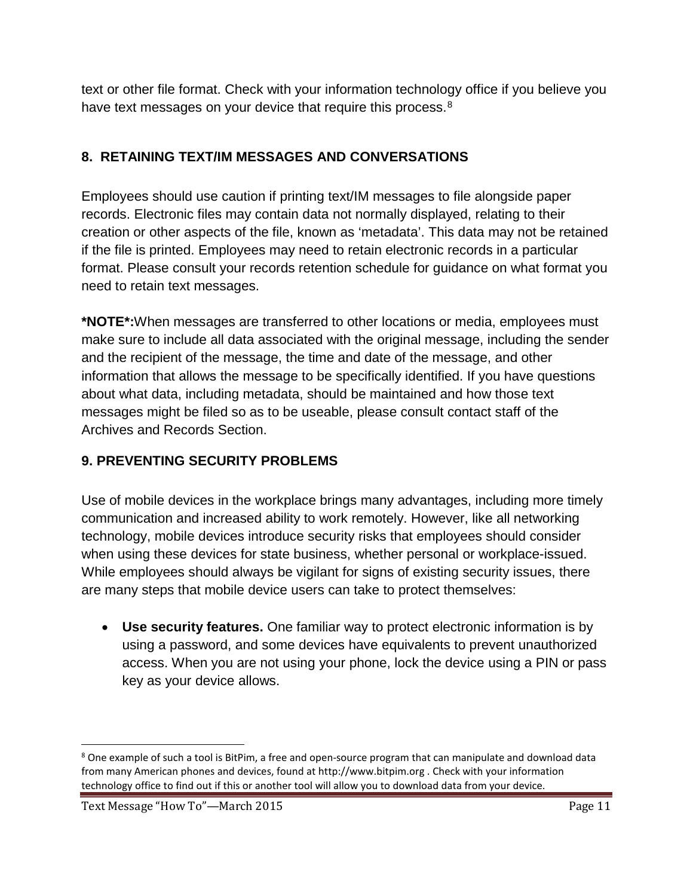text or other file format. Check with your information technology office if you believe you have text messages on your device that require this process.<sup>[8](#page-10-2)</sup>

## <span id="page-10-0"></span>**8. RETAINING TEXT/IM MESSAGES AND CONVERSATIONS**

Employees should use caution if printing text/IM messages to file alongside paper records. Electronic files may contain data not normally displayed, relating to their creation or other aspects of the file, known as 'metadata'. This data may not be retained if the file is printed. Employees may need to retain electronic records in a particular format. Please consult your records retention schedule for guidance on what format you need to retain text messages.

**\*NOTE\*:**When messages are transferred to other locations or media, employees must make sure to include all data associated with the original message, including the sender and the recipient of the message, the time and date of the message, and other information that allows the message to be specifically identified. If you have questions about what data, including metadata, should be maintained and how those text messages might be filed so as to be useable, please consult contact staff of the Archives and Records Section.

## <span id="page-10-1"></span>**9. PREVENTING SECURITY PROBLEMS**

Use of mobile devices in the workplace brings many advantages, including more timely communication and increased ability to work remotely. However, like all networking technology, mobile devices introduce security risks that employees should consider when using these devices for state business, whether personal or workplace-issued. While employees should always be vigilant for signs of existing security issues, there are many steps that mobile device users can take to protect themselves:

• **Use security features.** One familiar way to protect electronic information is by using a password, and some devices have equivalents to prevent unauthorized access. When you are not using your phone, lock the device using a PIN or pass key as your device allows.

<span id="page-10-2"></span><sup>&</sup>lt;sup>8</sup> One example of such a tool is BitPim, a free and open-source program that can manipulate and download data from many American phones and devices, found at http://www.bitpim.org . Check with your information technology office to find out if this or another tool will allow you to download data from your device.

Text Message "How To"—March 2015 Page 11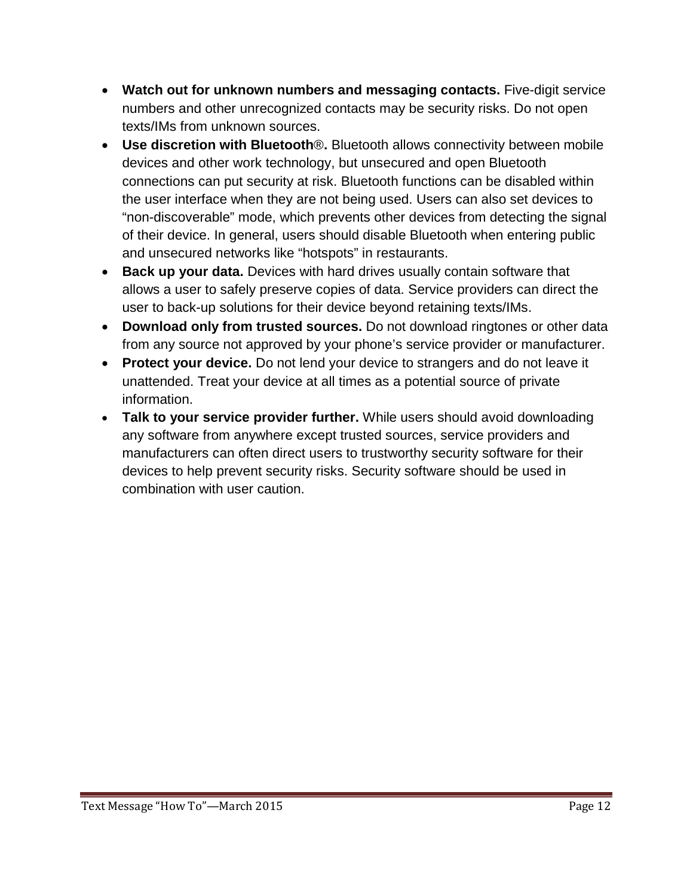- **Watch out for unknown numbers and messaging contacts.** Five-digit service numbers and other unrecognized contacts may be security risks. Do not open texts/IMs from unknown sources.
- **Use discretion with Bluetooth**®**.** Bluetooth allows connectivity between mobile devices and other work technology, but unsecured and open Bluetooth connections can put security at risk. Bluetooth functions can be disabled within the user interface when they are not being used. Users can also set devices to "non-discoverable" mode, which prevents other devices from detecting the signal of their device. In general, users should disable Bluetooth when entering public and unsecured networks like "hotspots" in restaurants.
- **Back up your data.** Devices with hard drives usually contain software that allows a user to safely preserve copies of data. Service providers can direct the user to back-up solutions for their device beyond retaining texts/IMs.
- **Download only from trusted sources.** Do not download ringtones or other data from any source not approved by your phone's service provider or manufacturer.
- **Protect your device.** Do not lend your device to strangers and do not leave it unattended. Treat your device at all times as a potential source of private information.
- **Talk to your service provider further.** While users should avoid downloading any software from anywhere except trusted sources, service providers and manufacturers can often direct users to trustworthy security software for their devices to help prevent security risks. Security software should be used in combination with user caution.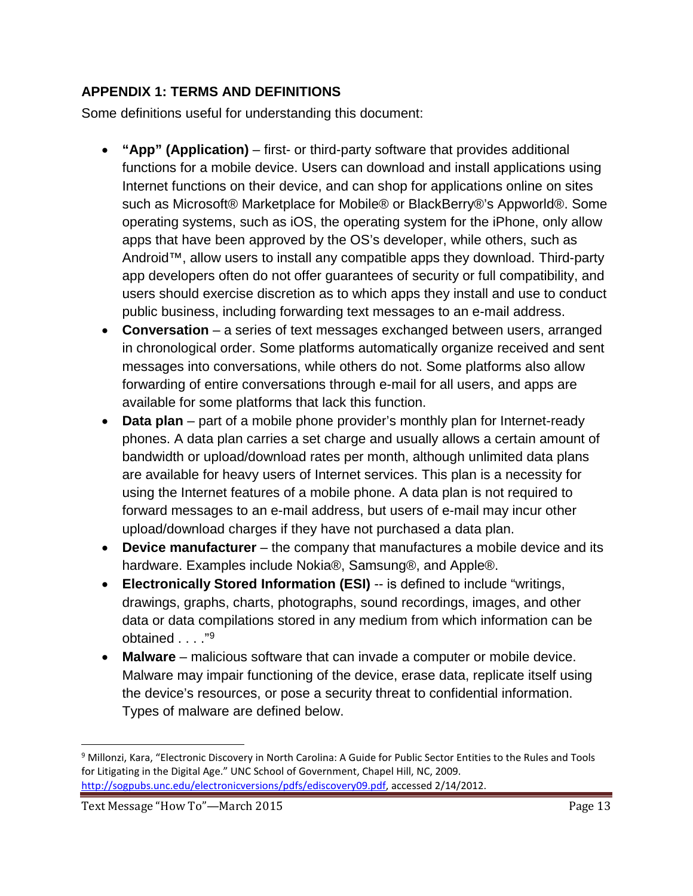## <span id="page-12-0"></span>**APPENDIX 1: TERMS AND DEFINITIONS**

Some definitions useful for understanding this document:

- **"App" (Application)** first- or third-party software that provides additional functions for a mobile device. Users can download and install applications using Internet functions on their device, and can shop for applications online on sites such as Microsoft® Marketplace for Mobile® or BlackBerry®'s Appworld®. Some operating systems, such as iOS, the operating system for the iPhone, only allow apps that have been approved by the OS's developer, while others, such as Android™, allow users to install any compatible apps they download. Third-party app developers often do not offer guarantees of security or full compatibility, and users should exercise discretion as to which apps they install and use to conduct public business, including forwarding text messages to an e-mail address.
- **Conversation**  a series of text messages exchanged between users, arranged in chronological order. Some platforms automatically organize received and sent messages into conversations, while others do not. Some platforms also allow forwarding of entire conversations through e-mail for all users, and apps are available for some platforms that lack this function.
- **Data plan** part of a mobile phone provider's monthly plan for Internet-ready phones. A data plan carries a set charge and usually allows a certain amount of bandwidth or upload/download rates per month, although unlimited data plans are available for heavy users of Internet services. This plan is a necessity for using the Internet features of a mobile phone. A data plan is not required to forward messages to an e-mail address, but users of e-mail may incur other upload/download charges if they have not purchased a data plan.
- **Device manufacturer**  the company that manufactures a mobile device and its hardware. Examples include Nokia®, Samsung®, and Apple®.
- **Electronically Stored Information (ESI)** -- is defined to include "writings, drawings, graphs, charts, photographs, sound recordings, images, and other data or data compilations stored in any medium from which information can be obtained . . . . "[9](#page-12-1)
- **Malware**  malicious software that can invade a computer or mobile device. Malware may impair functioning of the device, erase data, replicate itself using the device's resources, or pose a security threat to confidential information. Types of malware are defined below.

<span id="page-12-1"></span> <sup>9</sup> Millonzi, Kara, "Electronic Discovery in North Carolina: A Guide for Public Sector Entities to the Rules and Tools for Litigating in the Digital Age." UNC School of Government, Chapel Hill, NC, 2009. [http://sogpubs.unc.edu/electronicversions/pdfs/ediscovery09.pdf,](http://sogpubs.unc.edu/electronicversions/pdfs/ediscovery09.pdf) accessed 2/14/2012.

Text Message "How To"—March 2015 Page 13